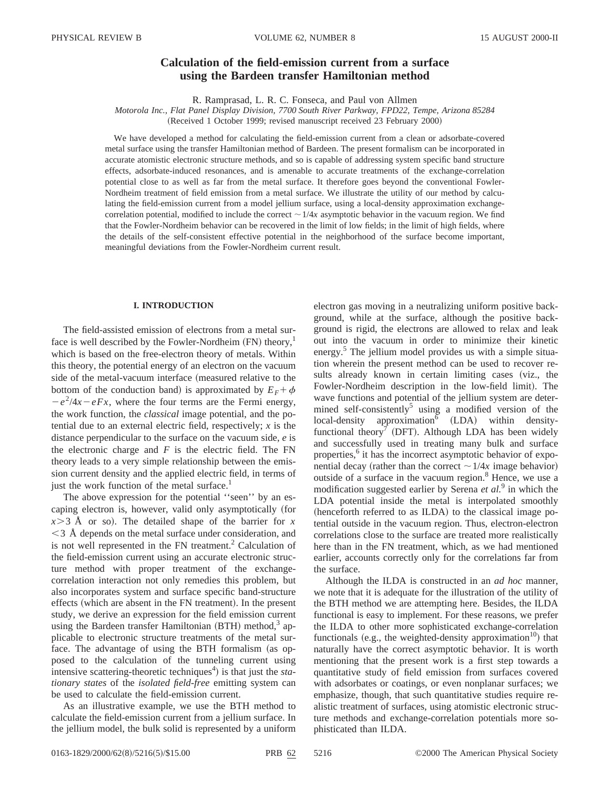# **Calculation of the field-emission current from a surface using the Bardeen transfer Hamiltonian method**

R. Ramprasad, L. R. C. Fonseca, and Paul von Allmen

*Motorola Inc., Flat Panel Display Division, 7700 South River Parkway, FPD22, Tempe, Arizona 85284* (Received 1 October 1999; revised manuscript received 23 February 2000)

We have developed a method for calculating the field-emission current from a clean or adsorbate-covered metal surface using the transfer Hamiltonian method of Bardeen. The present formalism can be incorporated in accurate atomistic electronic structure methods, and so is capable of addressing system specific band structure effects, adsorbate-induced resonances, and is amenable to accurate treatments of the exchange-correlation potential close to as well as far from the metal surface. It therefore goes beyond the conventional Fowler-Nordheim treatment of field emission from a metal surface. We illustrate the utility of our method by calculating the field-emission current from a model jellium surface, using a local-density approximation exchangecorrelation potential, modified to include the correct  $\sim 1/4x$  asymptotic behavior in the vacuum region. We find that the Fowler-Nordheim behavior can be recovered in the limit of low fields; in the limit of high fields, where the details of the self-consistent effective potential in the neighborhood of the surface become important, meaningful deviations from the Fowler-Nordheim current result.

## **I. INTRODUCTION**

The field-assisted emission of electrons from a metal surface is well described by the Fowler-Nordheim  $(FN)$  theory,<sup>1</sup> which is based on the free-electron theory of metals. Within this theory, the potential energy of an electron on the vacuum side of the metal-vacuum interface (measured relative to the bottom of the conduction band) is approximated by  $E_F + \phi$  $-e^{2}/4x-eFx$ , where the four terms are the Fermi energy, the work function, the *classical* image potential, and the potential due to an external electric field, respectively; *x* is the distance perpendicular to the surface on the vacuum side, *e* is the electronic charge and  $F$  is the electric field. The  $FN$ theory leads to a very simple relationship between the emission current density and the applied electric field, in terms of just the work function of the metal surface.<sup>1</sup>

The above expression for the potential ''seen'' by an escaping electron is, however, valid only asymptotically (for  $x > 3$  Å or so). The detailed shape of the barrier for *x*  $\leq$  3 Å depends on the metal surface under consideration, and is not well represented in the FN treatment.<sup>2</sup> Calculation of the field-emission current using an accurate electronic structure method with proper treatment of the exchangecorrelation interaction not only remedies this problem, but also incorporates system and surface specific band-structure effects (which are absent in the FN treatment). In the present study, we derive an expression for the field emission current using the Bardeen transfer Hamiltonian  $(BTH)$  method,<sup>3</sup> applicable to electronic structure treatments of the metal surface. The advantage of using the BTH formalism (as opposed to the calculation of the tunneling current using intensive scattering-theoretic techniques<sup>4</sup>) is that just the *stationary states* of the *isolated field-free* emitting system can be used to calculate the field-emission current.

As an illustrative example, we use the BTH method to calculate the field-emission current from a jellium surface. In the jellium model, the bulk solid is represented by a uniform electron gas moving in a neutralizing uniform positive background, while at the surface, although the positive background is rigid, the electrons are allowed to relax and leak out into the vacuum in order to minimize their kinetic energy.<sup>5</sup> The jellium model provides us with a simple situation wherein the present method can be used to recover results already known in certain limiting cases (viz., the Fowler-Nordheim description in the low-field limit). The wave functions and potential of the jellium system are determined self-consistently<sup>5</sup> using a modified version of the local-density approximation<sup>6</sup> (LDA) within densityfunctional theory<sup>7</sup> (DFT). Although LDA has been widely and successfully used in treating many bulk and surface properties,<sup>6</sup> it has the incorrect asymptotic behavior of exponential decay (rather than the correct  $\sim 1/4x$  image behavior) outside of a surface in the vacuum region.8 Hence, we use a modification suggested earlier by Serena *et al.*<sup>9</sup> in which the LDA potential inside the metal is interpolated smoothly  $(henceforth referred to as ILDA)$  to the classical image potential outside in the vacuum region. Thus, electron-electron correlations close to the surface are treated more realistically here than in the FN treatment, which, as we had mentioned earlier, accounts correctly only for the correlations far from the surface.

Although the ILDA is constructed in an *ad hoc* manner, we note that it is adequate for the illustration of the utility of the BTH method we are attempting here. Besides, the ILDA functional is easy to implement. For these reasons, we prefer the ILDA to other more sophisticated exchange-correlation functionals (e.g., the weighted-density approximation<sup>10</sup>) that naturally have the correct asymptotic behavior. It is worth mentioning that the present work is a first step towards a quantitative study of field emission from surfaces covered with adsorbates or coatings, or even nonplanar surfaces; we emphasize, though, that such quantitative studies require realistic treatment of surfaces, using atomistic electronic structure methods and exchange-correlation potentials more sophisticated than ILDA.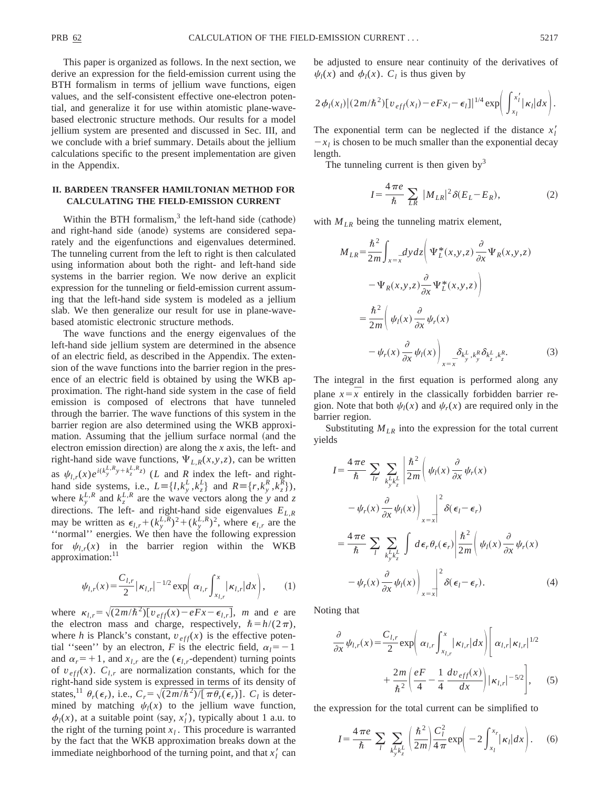This paper is organized as follows. In the next section, we derive an expression for the field-emission current using the BTH formalism in terms of jellium wave functions, eigen values, and the self-consistent effective one-electron potential, and generalize it for use within atomistic plane-wavebased electronic structure methods. Our results for a model jellium system are presented and discussed in Sec. III, and we conclude with a brief summary. Details about the jellium calculations specific to the present implementation are given in the Appendix.

# **II. BARDEEN TRANSFER HAMILTONIAN METHOD FOR CALCULATING THE FIELD-EMISSION CURRENT**

Within the BTH formalism, $3$  the left-hand side (cathode) and right-hand side (anode) systems are considered separately and the eigenfunctions and eigenvalues determined. The tunneling current from the left to right is then calculated using information about both the right- and left-hand side systems in the barrier region. We now derive an explicit expression for the tunneling or field-emission current assuming that the left-hand side system is modeled as a jellium slab. We then generalize our result for use in plane-wavebased atomistic electronic structure methods.

The wave functions and the energy eigenvalues of the left-hand side jellium system are determined in the absence of an electric field, as described in the Appendix. The extension of the wave functions into the barrier region in the presence of an electric field is obtained by using the WKB approximation. The right-hand side system in the case of field emission is composed of electrons that have tunneled through the barrier. The wave functions of this system in the barrier region are also determined using the WKB approximation. Assuming that the jellium surface normal (and the electron emission direction) are along the  $x$  axis, the left- and right-hand side wave functions,  $\Psi_{L,R}(x,y,z)$ , can be written as  $\psi_{l,r}(x)e^{i(k_y^{L,R}y+k_z^{L,R}z)}$  (*L* and *R* index the left- and righthand side systems, i.e.,  $L = \{l, k_y^L, k_z^L\}$  and  $R = \{r, k_y^R, k_z^R\}$ , where  $k_y^{L,R}$  and  $k_z^{L,R}$  are the wave vectors along the *y* and *z* directions. The left- and right-hand side eigenvalues *EL*,*<sup>R</sup>* may be written as  $\epsilon_{l,r}$  +  $(k_y^{L,R})^2$  +  $(k_y^{L,R})^2$ , where  $\epsilon_{l,r}$  are the ''normal'' energies. We then have the following expression for  $\psi_{l,r}(x)$  in the barrier region within the WKB approximation:<sup>11</sup>

$$
\psi_{l,r}(x) = \frac{C_{l,r}}{2} |\kappa_{l,r}|^{-1/2} \exp\left(\alpha_{l,r} \int_{x_{l,r}}^x |\kappa_{l,r}| dx\right),\qquad(1)
$$

where  $\kappa_{l,r} = \sqrt{(2m/\hbar^2)[v_{eff}(x) - eFx - \epsilon_{l,r}]}$ , *m* and *e* are the electron mass and charge, respectively,  $\hbar = h/(2\pi)$ , where *h* is Planck's constant,  $v_{eff}(x)$  is the effective potential "seen" by an electron, *F* is the electric field,  $\alpha_l = -1$ and  $\alpha_r = +1$ , and  $x_{l,r}$  are the ( $\epsilon_{l,r}$ -dependent) turning points of  $v_{eff}(x)$ .  $C_{l,r}$  are normalization constants, which for the right-hand side system is expressed in terms of its density of states,<sup>11</sup>  $\theta_r(\epsilon_r)$ , i.e.,  $C_r = \sqrt{(2m/\hbar^2)/[\pi \theta_r(\epsilon_r)]}$ .  $C_l$  is determined by matching  $\psi_l(x)$  to the jellium wave function,  $\phi_l(x)$ , at a suitable point (say,  $x_l'$ ), typically about 1 a.u. to the right of the turning point  $x_l$ . This procedure is warranted by the fact that the WKB approximation breaks down at the immediate neighborhood of the turning point, and that  $x_l'$  can be adjusted to ensure near continuity of the derivatives of  $\psi_l(x)$  and  $\phi_l(x)$ .  $C_l$  is thus given by

$$
2\phi_l(x_l)|(2m/\hbar^2)[v_{eff}(x_l)-eFx_l-\epsilon_l]|^{1/4}\exp\bigg(\int_{x_l}^{x_l'}|\kappa_l|dx\bigg).
$$

The exponential term can be neglected if the distance  $x_l$  $-x_l$  is chosen to be much smaller than the exponential decay length.

The tunneling current is then given by<sup>3</sup>

$$
I = \frac{4\pi e}{\hbar} \sum_{LR} |M_{LR}|^2 \delta(E_L - E_R), \tag{2}
$$

with  $M_{LR}$  being the tunneling matrix element,

$$
M_{LR} = \frac{\hbar^2}{2m} \int_{x=\bar{x}} dy dz \left( \Psi_L^*(x, y, z) \frac{\partial}{\partial x} \Psi_R(x, y, z) - \Psi_R(x, y, z) \frac{\partial}{\partial x} \Psi_L^*(x, y, z) \right)
$$
  

$$
= \frac{\hbar^2}{2m} \left( \psi_I(x) \frac{\partial}{\partial x} \psi_r(x) - \psi_r(x) \frac{\partial}{\partial x} \psi_I(x) \right)_{x=\bar{x}} \delta_{k_x^L, k_y^R} \delta_{k_z^L, k_z^R}.
$$
 (3)

The integral in the first equation is performed along any plane  $x = \overline{x}$  entirely in the classically forbidden barrier region. Note that both  $\psi_l(x)$  and  $\psi_r(x)$  are required only in the barrier region.

Substituting  $M_{LR}$  into the expression for the total current yields

$$
I = \frac{4\pi e}{\hbar} \sum_{l} \sum_{k \atop l} \sum_{k \atop l} \left| \frac{\hbar^2}{2m} \right| \psi_l(x) \frac{\partial}{\partial x} \psi_r(x)
$$
  

$$
- \psi_r(x) \frac{\partial}{\partial x} \psi_l(x) \Big|_{x = \bar{x}} \Big|^{2} \delta(\epsilon_l - \epsilon_r)
$$
  

$$
= \frac{4\pi e}{\hbar} \sum_{l} \sum_{k \atop l} \sum_{k \atop l} d\epsilon_r \theta_r(\epsilon_r) \left| \frac{\hbar^2}{2m} \right| \psi_l(x) \frac{\partial}{\partial x} \psi_r(x)
$$
  

$$
- \psi_r(x) \frac{\partial}{\partial x} \psi_l(x) \Big|_{x = \bar{x}} \Big|^{2} \delta(\epsilon_l - \epsilon_r).
$$
 (4)

Noting that

$$
\frac{\partial}{\partial x}\psi_{l,r}(x) = \frac{C_{l,r}}{2} \exp\left(\alpha_{l,r} \int_{x_{l,r}}^x |\kappa_{l,r}| dx\right) \left[\alpha_{l,r} |\kappa_{l,r}|^{1/2} + \frac{2m}{\hbar^2} \left(\frac{eF}{4} - \frac{1}{4} \frac{dv_{eff}(x)}{dx}\right) |\kappa_{l,r}|^{-5/2}\right],
$$
 (5)

the expression for the total current can be simplified to

$$
I = \frac{4\,\pi e}{\hbar} \sum_{l} \sum_{k_y^l k_z^l} \left(\frac{\hbar^2}{2m}\right) \frac{C_l^2}{4\,\pi} \exp\bigg(-2\int_{x_l}^{x_r} |\kappa_l| dx\bigg). \tag{6}
$$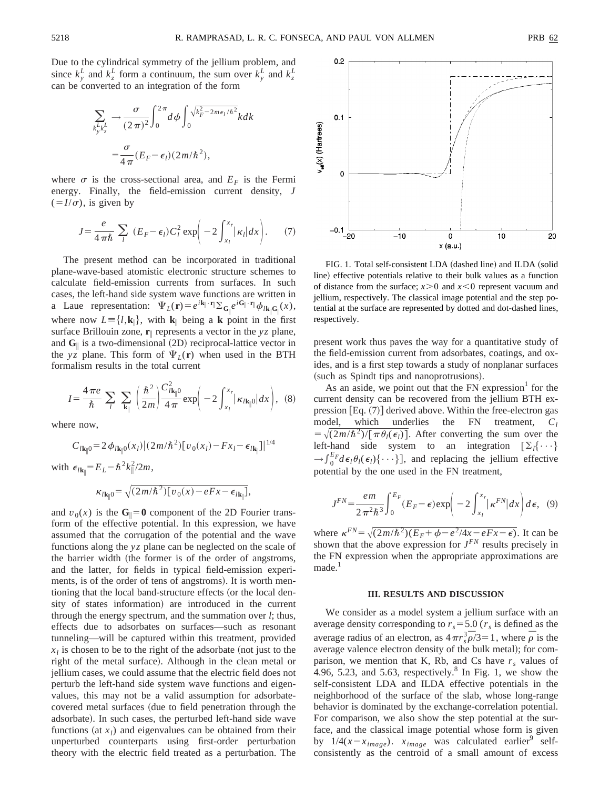Due to the cylindrical symmetry of the jellium problem, and since  $k_y^L$  and  $k_z^L$  form a continuum, the sum over  $k_y^L$  and  $k_z^L$ can be converted to an integration of the form

$$
\sum_{\substack{k_j^L k_z^L}} \rightarrow \frac{\sigma}{(2\pi)^2} \int_0^{2\pi} d\phi \int_0^{\sqrt{k_F^2 - 2m\epsilon_l/\hbar^2}} k dk
$$
  
= 
$$
\frac{\sigma}{4\pi} (E_F - \epsilon_l) (2m/\hbar^2),
$$

where  $\sigma$  is the cross-sectional area, and  $E_F$  is the Fermi energy. Finally, the field-emission current density, *J*  $(=I/\sigma)$ , is given by

$$
J = \frac{e}{4\pi\hbar} \sum_{l} (E_F - \epsilon_l) C_l^2 \exp\left(-2\int_{x_l}^{x_r} |\kappa_l| dx\right). \tag{7}
$$

The present method can be incorporated in traditional plane-wave-based atomistic electronic structure schemes to calculate field-emission currents from surfaces. In such cases, the left-hand side system wave functions are written in a Laue representation:  $\Psi_L(\mathbf{r}) = e^{i\mathbf{k}_{\parallel} \cdot \mathbf{r}_{\parallel}} \sum_{\mathbf{G}_{\parallel} e^{i\mathbf{G}_{\parallel} \cdot \mathbf{r}_{\parallel}}} \phi_{l\mathbf{k}_{\parallel} \mathbf{G}_{\parallel}}(x),$ where now  $L = \{l, k_{\parallel}\}\$ , with  $k_{\parallel}$  being a **k** point in the first surface Brillouin zone, **r**<sup>i</sup> represents a vector in the *yz* plane, and  $\mathbf{G}_{\parallel}$  is a two-dimensional (2D) reciprocal-lattice vector in the *yz* plane. This form of  $\Psi_L(\mathbf{r})$  when used in the BTH formalism results in the total current

$$
I = \frac{4\pi e}{\hbar} \sum_{l} \sum_{\mathbf{k}_{\parallel}} \left(\frac{\hbar^2}{2m}\right) \frac{C_{l\mathbf{k}_{\parallel}0}^2}{4\pi} \exp\left(-2\int_{x_l}^{x_r} |\kappa_{l\mathbf{k}_{\parallel}0}| dx\right), \tag{8}
$$

where now,

$$
C_{l\mathbf{k}_{\parallel}0} = 2 \phi_{l\mathbf{k}_{\parallel}0}(x_l) [(2m/\hbar^2) [v_0(x_l) - Fx_l - \epsilon_{l\mathbf{k}_{\parallel}}]^{1/4}
$$

with  $\epsilon_{l\mathbf{k}_{\parallel}} = E_L - \hbar^2 k_{\parallel}^2 / 2m$ ,

$$
\kappa_{l\mathbf{k}_{\parallel}0} = \sqrt{(2m/\hbar^2)[v_0(x) - eFx - \epsilon_{l\mathbf{k}_{\parallel}}]},
$$

and  $v_0(x)$  is the  $G_{\parallel}=0$  component of the 2D Fourier transform of the effective potential. In this expression, we have assumed that the corrugation of the potential and the wave functions along the *yz* plane can be neglected on the scale of the barrier width (the former is of the order of angstroms, and the latter, for fields in typical field-emission experiments, is of the order of tens of angstroms). It is worth mentioning that the local band-structure effects (or the local density of states information) are introduced in the current through the energy spectrum, and the summation over *l*; thus, effects due to adsorbates on surfaces—such as resonant tunneling—will be captured within this treatment, provided  $x_l$  is chosen to be to the right of the adsorbate (not just to the right of the metal surface). Although in the clean metal or jellium cases, we could assume that the electric field does not perturb the left-hand side system wave functions and eigenvalues, this may not be a valid assumption for adsorbatecovered metal surfaces (due to field penetration through the adsorbate). In such cases, the perturbed left-hand side wave functions (at  $x_l$ ) and eigenvalues can be obtained from their unperturbed counterparts using first-order perturbation theory with the electric field treated as a perturbation. The



FIG. 1. Total self-consistent LDA (dashed line) and ILDA (solid line) effective potentials relative to their bulk values as a function of distance from the surface;  $x>0$  and  $x<0$  represent vacuum and jellium, respectively. The classical image potential and the step potential at the surface are represented by dotted and dot-dashed lines, respectively.

present work thus paves the way for a quantitative study of the field-emission current from adsorbates, coatings, and oxides, and is a first step towards a study of nonplanar surfaces (such as Spindt tips and nanoprotrusions).

As an aside, we point out that the  $FN$  expression<sup>1</sup> for the current density can be recovered from the jellium BTH expression  $[Eq. (7)]$  derived above. Within the free-electron gas model, which underlies the FN treatment,  $C_l$  $= \sqrt{(2m/\hbar^2)/[\pi \theta_l(\epsilon_l)]}$ . After converting the sum over the left-hand side system to an integration  $[\Sigma_l \{\cdots\}]$  $\rightarrow \int_0^{E_F} d\epsilon_l \theta_l(\epsilon_l) \{\cdots\}$ , and replacing the jellium effective potential by the one used in the FN treatment,

$$
J^{FN} = \frac{em}{2\pi^2\hbar^3} \int_0^{E_F} (E_F - \epsilon) \exp\left(-2\int_{x_I}^{x_I} |\kappa^{FN}| dx\right) d\epsilon, \quad (9)
$$

where  $\kappa^{FN} = \sqrt{(2m/\hbar^2)(E_F + \phi - e^2/4x - eFx - \epsilon)}$ . It can be shown that the above expression for  $J^{FN}$  results precisely in the FN expression when the appropriate approximations are  $made.<sup>1</sup>$ 

#### **III. RESULTS AND DISCUSSION**

We consider as a model system a jellium surface with an average density corresponding to  $r_s = 5.0$  ( $r_s$  is defined as the average radius of an electron, as  $4\pi r_s^3 \bar{\rho}/3 = 1$ , where  $\bar{\rho}$  is the average valence electron density of the bulk metal); for comparison, we mention that K, Rb, and Cs have  $r<sub>s</sub>$  values of 4.96, 5.23, and 5.63, respectively.<sup>8</sup> In Fig. 1, we show the self-consistent LDA and ILDA effective potentials in the neighborhood of the surface of the slab, whose long-range behavior is dominated by the exchange-correlation potential. For comparison, we also show the step potential at the surface, and the classical image potential whose form is given by  $1/4(x-x<sub>image</sub>)$ .  $x<sub>image</sub>$  was calculated earlier<sup>9</sup> selfconsistently as the centroid of a small amount of excess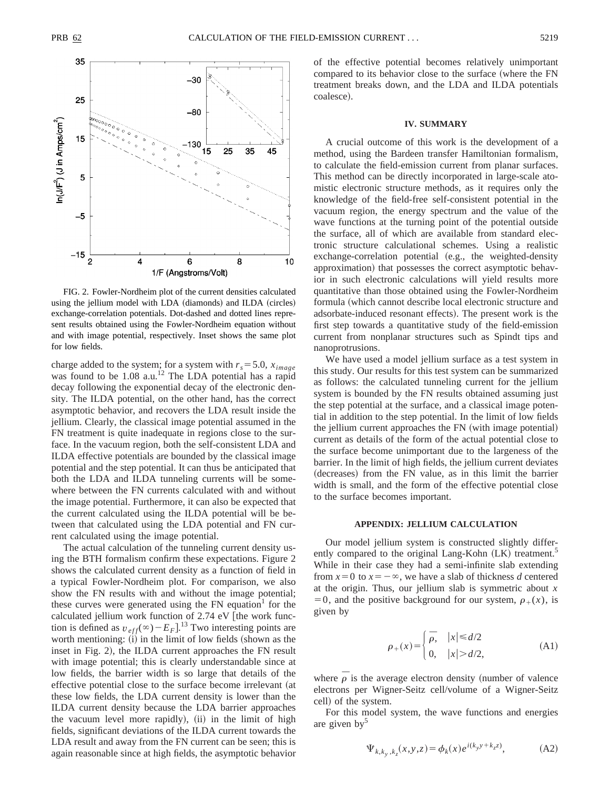

FIG. 2. Fowler-Nordheim plot of the current densities calculated using the jellium model with LDA (diamonds) and ILDA (circles) exchange-correlation potentials. Dot-dashed and dotted lines represent results obtained using the Fowler-Nordheim equation without and with image potential, respectively. Inset shows the same plot for low fields.

charge added to the system; for a system with  $r_s = 5.0$ ,  $x_{image}$ was found to be 1.08 a.u.<sup>12</sup> The LDA potential has a rapid decay following the exponential decay of the electronic density. The ILDA potential, on the other hand, has the correct asymptotic behavior, and recovers the LDA result inside the jellium. Clearly, the classical image potential assumed in the FN treatment is quite inadequate in regions close to the surface. In the vacuum region, both the self-consistent LDA and ILDA effective potentials are bounded by the classical image potential and the step potential. It can thus be anticipated that both the LDA and ILDA tunneling currents will be somewhere between the FN currents calculated with and without the image potential. Furthermore, it can also be expected that the current calculated using the ILDA potential will be between that calculated using the LDA potential and FN current calculated using the image potential.

The actual calculation of the tunneling current density using the BTH formalism confirm these expectations. Figure 2 shows the calculated current density as a function of field in a typical Fowler-Nordheim plot. For comparison, we also show the FN results with and without the image potential; these curves were generated using the  $FN$  equation<sup>1</sup> for the calculated jellium work function of  $2.74$  eV [the work function is defined as  $v_{eff}(\infty) - E_F$ <sup>13</sup> Two interesting points are worth mentioning:  $(i)$  in the limit of low fields (shown as the inset in Fig. 2), the ILDA current approaches the FN result with image potential; this is clearly understandable since at low fields, the barrier width is so large that details of the effective potential close to the surface become irrelevant (at these low fields, the LDA current density is lower than the ILDA current density because the LDA barrier approaches the vacuum level more rapidly),  $(ii)$  in the limit of high fields, significant deviations of the ILDA current towards the LDA result and away from the FN current can be seen; this is again reasonable since at high fields, the asymptotic behavior of the effective potential becomes relatively unimportant compared to its behavior close to the surface (where the FN treatment breaks down, and the LDA and ILDA potentials coalesce).

#### **IV. SUMMARY**

A crucial outcome of this work is the development of a method, using the Bardeen transfer Hamiltonian formalism, to calculate the field-emission current from planar surfaces. This method can be directly incorporated in large-scale atomistic electronic structure methods, as it requires only the knowledge of the field-free self-consistent potential in the vacuum region, the energy spectrum and the value of the wave functions at the turning point of the potential outside the surface, all of which are available from standard electronic structure calculational schemes. Using a realistic exchange-correlation potential (e.g., the weighted-density approximation) that possesses the correct asymptotic behavior in such electronic calculations will yield results more quantitative than those obtained using the Fowler-Nordheim formula (which cannot describe local electronic structure and adsorbate-induced resonant effects). The present work is the first step towards a quantitative study of the field-emission current from nonplanar structures such as Spindt tips and nanoprotrusions.

We have used a model jellium surface as a test system in this study. Our results for this test system can be summarized as follows: the calculated tunneling current for the jellium system is bounded by the FN results obtained assuming just the step potential at the surface, and a classical image potential in addition to the step potential. In the limit of low fields the jellium current approaches the FN (with image potential) current as details of the form of the actual potential close to the surface become unimportant due to the largeness of the barrier. In the limit of high fields, the jellium current deviates (decreases) from the FN value, as in this limit the barrier width is small, and the form of the effective potential close to the surface becomes important.

### **APPENDIX: JELLIUM CALCULATION**

Our model jellium system is constructed slightly differently compared to the original Lang-Kohn (LK) treatment.<sup>5</sup> While in their case they had a semi-infinite slab extending from  $x=0$  to  $x=-\infty$ , we have a slab of thickness *d* centered at the origin. Thus, our jellium slab is symmetric about *x*  $=0$ , and the positive background for our system,  $\rho_+(x)$ , is given by

$$
\rho_{+}(x) = \begin{cases} \bar{\rho}, & |x| \le d/2 \\ 0, & |x| > d/2, \end{cases}
$$
 (A1)

where  $\overline{\rho}$  is the average electron density (number of valence electrons per Wigner-Seitz cell/volume of a Wigner-Seitz cell) of the system.

For this model system, the wave functions and energies are given by $5$ 

$$
\Psi_{k,k_y,k_z}(x,y,z) = \phi_k(x) e^{i(k_y y + k_z z)},
$$
\n(A2)